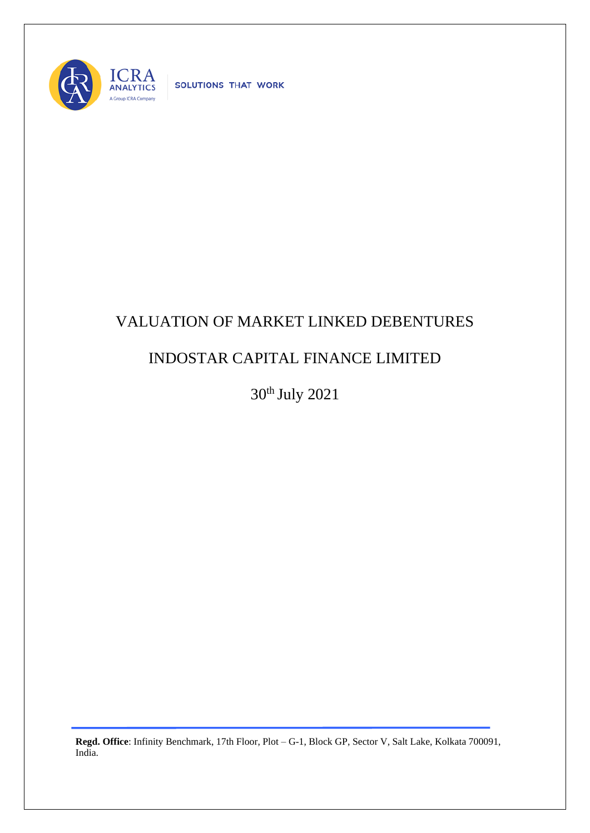

SOLUTIONS THAT WORK

## VALUATION OF MARKET LINKED DEBENTURES

## INDOSTAR CAPITAL FINANCE LIMITED

30th July 2021

**Regd. Office**: Infinity Benchmark, 17th Floor, Plot – G-1, Block GP, Sector V, Salt Lake, Kolkata 700091, India.